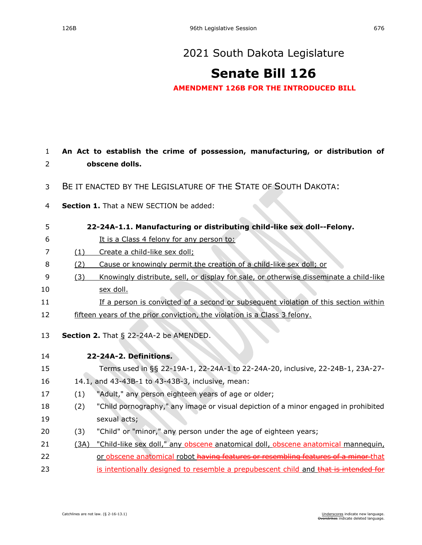## [2021 South Dakota Legislature](https://sdlegislature.gov/Session/Bills/44)

## **[Senate Bill 126](https://sdlegislature.gov/Session/Bill/22193)**

**AMENDMENT 126B FOR THE INTRODUCED BILL**

| $\mathbf{1}$ |      | An Act to establish the crime of possession, manufacturing, or distribution of         |
|--------------|------|----------------------------------------------------------------------------------------|
| 2            |      | obscene dolls.                                                                         |
| 3            |      | BE IT ENACTED BY THE LEGISLATURE OF THE STATE OF SOUTH DAKOTA:                         |
| 4            |      | Section 1. That a NEW SECTION be added:                                                |
| 5            |      | 22-24A-1.1. Manufacturing or distributing child-like sex doll--Felony.                 |
| 6            |      | It is a Class 4 felony for any person to:                                              |
| 7            | (1)  | Create a child-like sex doll;                                                          |
| 8            | (2)  | Cause or knowingly permit the creation of a child-like sex doll; or                    |
| 9            | (3)  | Knowingly distribute, sell, or display for sale, or otherwise disseminate a child-like |
| 10           |      | sex doll.                                                                              |
| 11           |      | If a person is convicted of a second or subsequent violation of this section within    |
| 12           |      | fifteen years of the prior conviction, the violation is a Class 3 felony.              |
| 13           |      | Section 2. That § 22-24A-2 be AMENDED.                                                 |
| 14           |      | 22-24A-2. Definitions.                                                                 |
| 15           |      | Terms used in §§ 22-19A-1, 22-24A-1 to 22-24A-20, inclusive, 22-24B-1, 23A-27-         |
| 16           |      | 14.1, and 43-43B-1 to 43-43B-3, inclusive, mean:                                       |
| 17           | (1)  | "Adult," any person eighteen years of age or older;                                    |
| 18           | (2)  | "Child pornography," any image or visual depiction of a minor engaged in prohibited    |
| 19           |      | sexual acts;                                                                           |
| 20           | (3)  | "Child" or "minor," any person under the age of eighteen years;                        |
| 21           | (3A) | "Child-like sex doll," any obscene anatomical doll, obscene anatomical mannequin,      |
| 22           |      | or obscene anatomical robot having features or resembling features of a minor that     |
| 23           |      | is intentionally designed to resemble a prepubescent child and that is intended for    |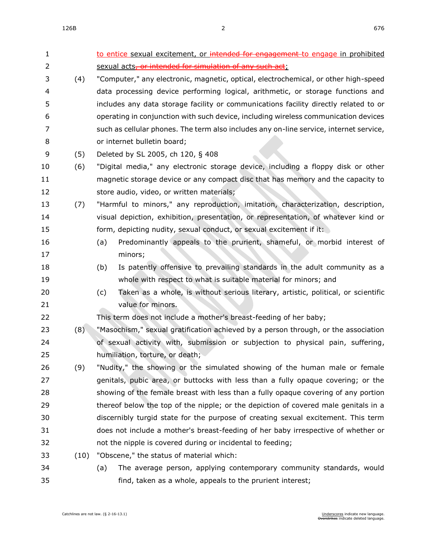| 1  |      | to entice sexual excitement, or intended for engagement to engage in prohibited          |
|----|------|------------------------------------------------------------------------------------------|
| 2  |      | sexual acts, or intended for simulation of any such act;                                 |
| 3  | (4)  | "Computer," any electronic, magnetic, optical, electrochemical, or other high-speed      |
| 4  |      | data processing device performing logical, arithmetic, or storage functions and          |
| 5  |      | includes any data storage facility or communications facility directly related to or     |
| 6  |      | operating in conjunction with such device, including wireless communication devices      |
| 7  |      | such as cellular phones. The term also includes any on-line service, internet service,   |
| 8  |      | or internet bulletin board;                                                              |
| 9  | (5)  | Deleted by SL 2005, ch 120, § 408                                                        |
| 10 | (6)  | "Digital media," any electronic storage device, including a floppy disk or other         |
| 11 |      | magnetic storage device or any compact disc that has memory and the capacity to          |
| 12 |      | store audio, video, or written materials;                                                |
| 13 | (7)  | "Harmful to minors," any reproduction, imitation, characterization, description,         |
| 14 |      | visual depiction, exhibition, presentation, or representation, of whatever kind or       |
| 15 |      | form, depicting nudity, sexual conduct, or sexual excitement if it:                      |
| 16 |      | Predominantly appeals to the prurient, shameful, or morbid interest of<br>(a)            |
| 17 |      | minors;                                                                                  |
| 18 |      | Is patently offensive to prevailing standards in the adult community as a<br>(b)         |
| 19 |      | whole with respect to what is suitable material for minors; and                          |
| 20 |      | Taken as a whole, is without serious literary, artistic, political, or scientific<br>(c) |
| 21 |      | value for minors.                                                                        |
| 22 |      | This term does not include a mother's breast-feeding of her baby;                        |
| 23 | (8)  | "Masochism," sexual gratification achieved by a person through, or the association       |
| 24 |      | of sexual activity with, submission or subjection to physical pain, suffering,           |
| 25 |      | humiliation, torture, or death;                                                          |
| 26 | (9)  | "Nudity," the showing or the simulated showing of the human male or female               |
| 27 |      | genitals, pubic area, or buttocks with less than a fully opaque covering; or the         |
| 28 |      | showing of the female breast with less than a fully opaque covering of any portion       |
| 29 |      | thereof below the top of the nipple; or the depiction of covered male genitals in a      |
| 30 |      | discernibly turgid state for the purpose of creating sexual excitement. This term        |
| 31 |      | does not include a mother's breast-feeding of her baby irrespective of whether or        |
| 32 |      | not the nipple is covered during or incidental to feeding;                               |
| 33 | (10) | "Obscene," the status of material which:                                                 |
| 34 |      | (a)<br>The average person, applying contemporary community standards, would              |
| 35 |      | find, taken as a whole, appeals to the prurient interest;                                |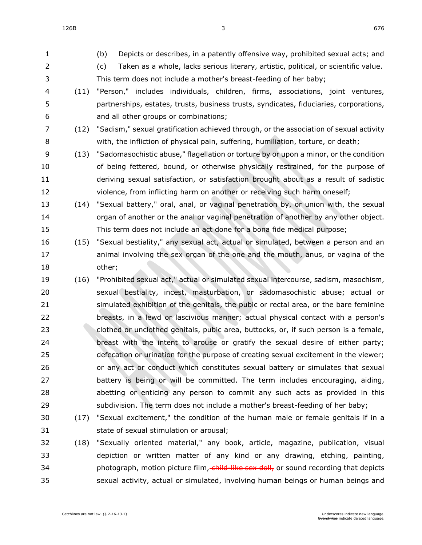$126B$  676

- (b) Depicts or describes, in a patently offensive way, prohibited sexual acts; and (c) Taken as a whole, lacks serious literary, artistic, political, or scientific value. This term does not include a mother's breast-feeding of her baby; (11) "Person," includes individuals, children, firms, associations, joint ventures, partnerships, estates, trusts, business trusts, syndicates, fiduciaries, corporations, and all other groups or combinations; (12) "Sadism," sexual gratification achieved through, or the association of sexual activity with, the infliction of physical pain, suffering, humiliation, torture, or death; (13) "Sadomasochistic abuse," flagellation or torture by or upon a minor, or the condition of being fettered, bound, or otherwise physically restrained, for the purpose of deriving sexual satisfaction, or satisfaction brought about as a result of sadistic violence, from inflicting harm on another or receiving such harm oneself; (14) "Sexual battery," oral, anal, or vaginal penetration by, or union with, the sexual organ of another or the anal or vaginal penetration of another by any other object. This term does not include an act done for a bona fide medical purpose; (15) "Sexual bestiality," any sexual act, actual or simulated, between a person and an animal involving the sex organ of the one and the mouth, anus, or vagina of the other; (16) "Prohibited sexual act," actual or simulated sexual intercourse, sadism, masochism, sexual bestiality, incest, masturbation, or sadomasochistic abuse; actual or simulated exhibition of the genitals, the pubic or rectal area, or the bare feminine breasts, in a lewd or lascivious manner; actual physical contact with a person's clothed or unclothed genitals, pubic area, buttocks, or, if such person is a female, breast with the intent to arouse or gratify the sexual desire of either party; defecation or urination for the purpose of creating sexual excitement in the viewer; or any act or conduct which constitutes sexual battery or simulates that sexual battery is being or will be committed. The term includes encouraging, aiding, abetting or enticing any person to commit any such acts as provided in this subdivision. The term does not include a mother's breast-feeding of her baby; (17) "Sexual excitement," the condition of the human male or female genitals if in a state of sexual stimulation or arousal; (18) "Sexually oriented material," any book, article, magazine, publication, visual depiction or written matter of any kind or any drawing, etching, painting, 34 photograph, motion picture film, child-like sex doll, or sound recording that depicts
- sexual activity, actual or simulated, involving human beings or human beings and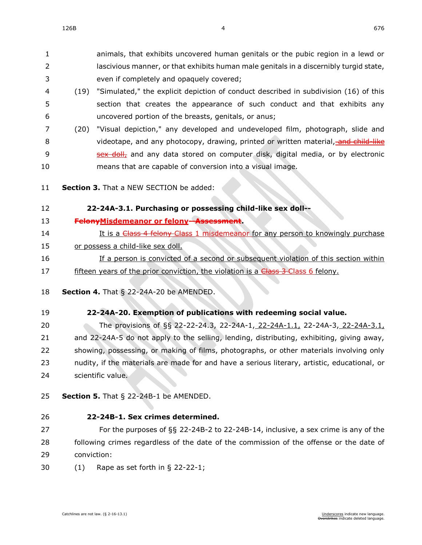animals, that exhibits uncovered human genitals or the pubic region in a lewd or lascivious manner, or that exhibits human male genitals in a discernibly turgid state, even if completely and opaquely covered;

- (19) "Simulated," the explicit depiction of conduct described in subdivision (16) of this section that creates the appearance of such conduct and that exhibits any uncovered portion of the breasts, genitals, or anus;
- (20) "Visual depiction," any developed and undeveloped film, photograph, slide and 8 videotape, and any photocopy, drawing, printed or written material, and child-like **Sex doll,** and any data stored on computer disk, digital media, or by electronic means that are capable of conversion into a visual image.
- **Section 3.** That a NEW SECTION be added:

## **22-24A-3.1. Purchasing or possessing child-like sex doll-- FelonyMisdemeanor or felony--Assessment.** 14 It is a Chass 4 felony Class 1 misdemeanor for any person to knowingly purchase or possess a child-like sex doll. If a person is convicted of a second or subsequent violation of this section within 17 fifteen years of the prior conviction, the violation is a **Class 3 Class 6 felony.**

- **Section 4.** [That § 22-24A-20 be AMENDED.](https://sdlegislature.gov/Statutes/Codified_Laws/2047431)
- **[22-24A-20. E](https://sdlegislature.gov/Statutes/Codified_Laws/DisplayStatute.aspx?Type=Statute&Statute=22-24A-20)xemption of publications with redeeming social value.**

 The provisions of §§ [22-22-24.3,](https://sdlegislature.gov/Statutes/Codified_Laws/DisplayStatute.aspx?Type=Statute&Statute=22-22-24.3) [22-24A-1,](https://sdlegislature.gov/Statutes/Codified_Laws/DisplayStatute.aspx?Type=Statute&Statute=22-24A-1) 22-24A-1.1, [22-24A-3,](https://sdlegislature.gov/Statutes/Codified_Laws/DisplayStatute.aspx?Type=Statute&Statute=22-24A-3) 22-24A-3.1, and [22-24A-5](https://sdlegislature.gov/Statutes/Codified_Laws/DisplayStatute.aspx?Type=Statute&Statute=22-24A-5) do not apply to the selling, lending, distributing, exhibiting, giving away, showing, possessing, or making of films, photographs, or other materials involving only 23 nudity, if the materials are made for and have a serious literary, artistic, educational, or scientific value.

**Section 5.** [That § 22-24B-1 be AMENDED.](https://sdlegislature.gov/Statutes/Codified_Laws/2047434)

**[22-24B-1. S](https://sdlegislature.gov/Statutes/Codified_Laws/DisplayStatute.aspx?Type=Statute&Statute=22-24B-1)ex crimes determined.**

 For the purposes of §§ [22-24B-2](https://sdlegislature.gov/Statutes/Codified_Laws/DisplayStatute.aspx?Type=Statute&Statute=22-24B-2) to [22-24B-14,](https://sdlegislature.gov/Statutes/Codified_Laws/DisplayStatute.aspx?Type=Statute&Statute=22-24B-14) inclusive, a sex crime is any of the 28 following crimes regardless of the date of the commission of the offense or the date of conviction:

(1) Rape as set forth in § [22-22-1;](https://sdlegislature.gov/Statutes/Codified_Laws/DisplayStatute.aspx?Type=Statute&Statute=22-22-1)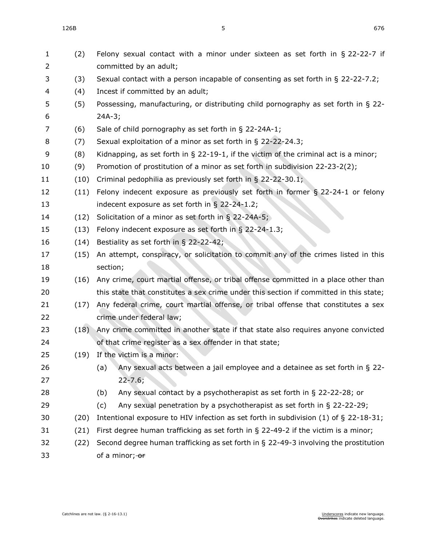| 1<br>2   | (2)  | Felony sexual contact with a minor under sixteen as set forth in § 22-22-7 if<br>committed by an adult;                                      |
|----------|------|----------------------------------------------------------------------------------------------------------------------------------------------|
| 3        | (3)  | Sexual contact with a person incapable of consenting as set forth in $\S$ 22-22-7.2;                                                         |
| 4        | (4)  | Incest if committed by an adult;                                                                                                             |
| 5        | (5)  | Possessing, manufacturing, or distributing child pornography as set forth in § 22-                                                           |
| 6        |      | $24A-3;$                                                                                                                                     |
| 7        | (6)  | Sale of child pornography as set forth in § 22-24A-1;                                                                                        |
| 8        | (7)  | Sexual exploitation of a minor as set forth in § 22-22-24.3;                                                                                 |
| 9        | (8)  | Kidnapping, as set forth in $\S$ 22-19-1, if the victim of the criminal act is a minor;                                                      |
| 10       | (9)  | Promotion of prostitution of a minor as set forth in subdivision 22-23-2(2);                                                                 |
| 11       | (10) | Criminal pedophilia as previously set forth in § 22-22-30.1;                                                                                 |
| 12       | (11) | Felony indecent exposure as previously set forth in former $\S$ 22-24-1 or felony                                                            |
| 13       |      | indecent exposure as set forth in $\S$ 22-24-1.2;                                                                                            |
| 14       | (12) | Solicitation of a minor as set forth in $\S$ 22-24A-5;                                                                                       |
| 15       | (13) | Felony indecent exposure as set forth in § 22-24-1.3;                                                                                        |
| 16       | (14) | Bestiality as set forth in § 22-22-42;                                                                                                       |
| 17       | (15) | An attempt, conspiracy, or solicitation to commit any of the crimes listed in this                                                           |
| 18       |      | section;<br>Any crime, court martial offense, or tribal offense committed in a place other than                                              |
| 19       | (16) |                                                                                                                                              |
| 20       |      | this state that constitutes a sex crime under this section if committed in this state;                                                       |
| 21       | (17) | Any federal crime, court martial offense, or tribal offense that constitutes a sex                                                           |
| 22<br>23 |      | crime under federal law;                                                                                                                     |
| 24       | (18) | Any crime committed in another state if that state also requires anyone convicted<br>of that crime register as a sex offender in that state; |
| 25       |      | (19) If the victim is a minor:                                                                                                               |
| 26       |      | (a)<br>Any sexual acts between a jail employee and a detainee as set forth in $\S$ 22-                                                       |
| 27       |      | $22 - 7.6;$                                                                                                                                  |
| 28       |      | Any sexual contact by a psychotherapist as set forth in $\S$ 22-22-28; or<br>(b)                                                             |
| 29       |      | Any sexual penetration by a psychotherapist as set forth in § 22-22-29;<br>(c)                                                               |
| 30       | (20) | Intentional exposure to HIV infection as set forth in subdivision $(1)$ of § 22-18-31;                                                       |
| 31       | (21) | First degree human trafficking as set forth in $\S$ 22-49-2 if the victim is a minor;                                                        |
| 32       | (22) | Second degree human trafficking as set forth in $\S$ 22-49-3 involving the prostitution                                                      |
| 33       |      | of a minor; or                                                                                                                               |
|          |      |                                                                                                                                              |